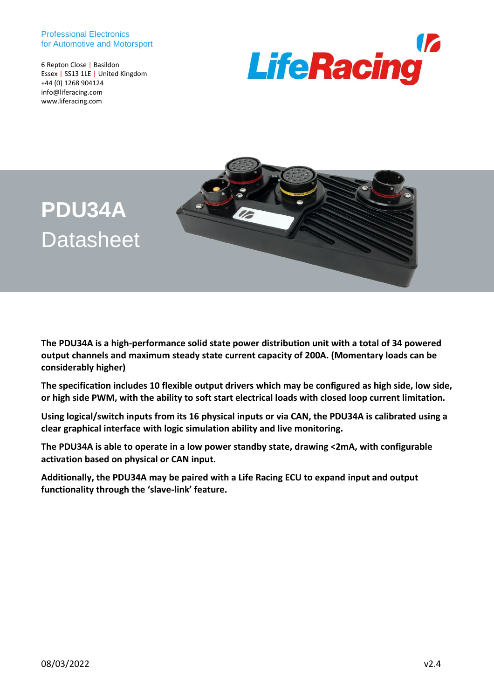#### Professional Electronics for Automotive and Motorsport

6 Repton Close | Basildon Essex | SS13 1LE | United Kingdom +44 (0) 1268 904124 info@liferacing.com www.liferacing.com





# **PDU34A Datasheet**

**The PDU34A is a high-performance solid state power distribution unit with a total of 34 powered output channels and maximum steady state current capacity of 200A. (Momentary loads can be considerably higher)**

**The specification includes 10 flexible output drivers which may be configured as high side, low side, or high side PWM, with the ability to soft start electrical loads with closed loop current limitation.**

**Using logical/switch inputs from its 16 physical inputs or via CAN, the PDU34A is calibrated using a clear graphical interface with logic simulation ability and live monitoring.**

**The PDU34A is able to operate in a low power standby state, drawing <2mA, with configurable activation based on physical or CAN input.** 

**Additionally, the PDU34A may be paired with a Life Racing ECU to expand input and output functionality through the 'slave-link' feature.**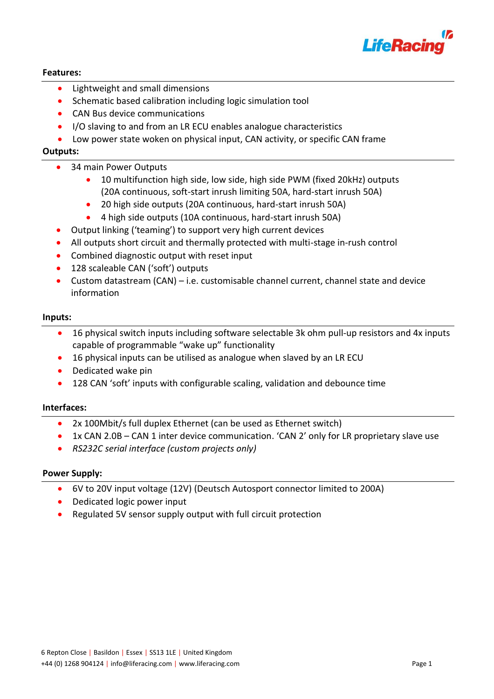

# **Features:**

- Lightweight and small dimensions
- Schematic based calibration including logic simulation tool
- CAN Bus device communications
- I/O slaving to and from an LR ECU enables analogue characteristics
- Low power state woken on physical input, CAN activity, or specific CAN frame

# **Outputs:**

- 34 main Power Outputs
	- 10 multifunction high side, low side, high side PWM (fixed 20kHz) outputs (20A continuous, soft-start inrush limiting 50A, hard-start inrush 50A)
	- 20 high side outputs (20A continuous, hard-start inrush 50A)
	- 4 high side outputs (10A continuous, hard-start inrush 50A)
- Output linking ('teaming') to support very high current devices
- All outputs short circuit and thermally protected with multi-stage in-rush control
- Combined diagnostic output with reset input
- 128 scaleable CAN ('soft') outputs
- Custom datastream (CAN) i.e. customisable channel current, channel state and device information

#### **Inputs:**

- 16 physical switch inputs including software selectable 3k ohm pull-up resistors and 4x inputs capable of programmable "wake up" functionality
- 16 physical inputs can be utilised as analogue when slaved by an LR ECU
- Dedicated wake pin
- 128 CAN 'soft' inputs with configurable scaling, validation and debounce time

#### **Interfaces:**

- 2x 100Mbit/s full duplex Ethernet (can be used as Ethernet switch)
- 1x CAN 2.0B CAN 1 inter device communication. 'CAN 2' only for LR proprietary slave use
- *RS232C serial interface (custom projects only)*

# **Power Supply:**

- 6V to 20V input voltage (12V) (Deutsch Autosport connector limited to 200A)
- Dedicated logic power input
- Regulated 5V sensor supply output with full circuit protection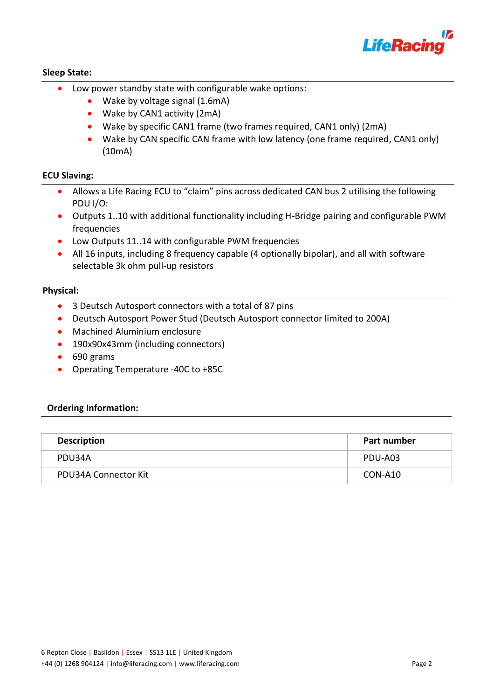

# **Sleep State:**

- Low power standby state with configurable wake options:
	- Wake by voltage signal (1.6mA)
	- Wake by CAN1 activity (2mA)
	- Wake by specific CAN1 frame (two frames required, CAN1 only) (2mA)
	- Wake by CAN specific CAN frame with low latency (one frame required, CAN1 only) (10mA)

# **ECU Slaving:**

- Allows a Life Racing ECU to "claim" pins across dedicated CAN bus 2 utilising the following PDU I/O:
- Outputs 1..10 with additional functionality including H-Bridge pairing and configurable PWM frequencies
- Low Outputs 11..14 with configurable PWM frequencies
- All 16 inputs, including 8 frequency capable (4 optionally bipolar), and all with software selectable 3k ohm pull-up resistors

# **Physical:**

- 3 Deutsch Autosport connectors with a total of 87 pins
- Deutsch Autosport Power Stud (Deutsch Autosport connector limited to 200A)
- Machined Aluminium enclosure
- 190x90x43mm (including connectors)
- 690 grams
- Operating Temperature -40C to +85C

# **Ordering Information:**

| <b>Description</b>   | Part number |
|----------------------|-------------|
| PDU34A               | PDU-A03     |
| PDU34A Connector Kit | CON-A10     |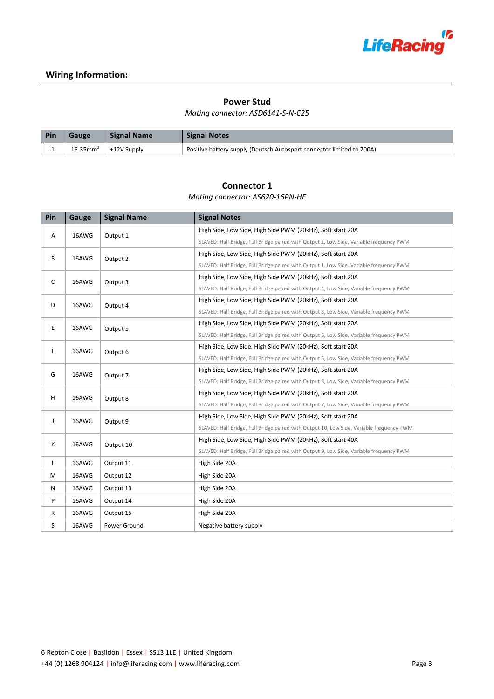

# **Wiring Information:**

#### **Power Stud**

#### *Mating connector: ASD6141-S-N-C25*

| Pin | Gauge                     | <b>Signal Name</b> | <b>Signal Notes</b>                                                   |
|-----|---------------------------|--------------------|-----------------------------------------------------------------------|
|     | $16 - 35$ mm <sup>2</sup> | +12V Supply        | Positive battery supply (Deutsch Autosport connector limited to 200A) |

# **Connector 1**

*Mating connector: AS620-16PN-HE*

| Pin          | Gauge | <b>Signal Name</b>                                         | <b>Signal Notes</b>                                                                      |
|--------------|-------|------------------------------------------------------------|------------------------------------------------------------------------------------------|
| 16AWG<br>Α   |       | Output 1                                                   | High Side, Low Side, High Side PWM (20kHz), Soft start 20A                               |
|              |       |                                                            | SLAVED: Half Bridge, Full Bridge paired with Output 2, Low Side, Variable frequency PWM  |
| B<br>16AWG   |       | High Side, Low Side, High Side PWM (20kHz), Soft start 20A |                                                                                          |
|              |       | Output 2                                                   | SLAVED: Half Bridge, Full Bridge paired with Output 1, Low Side, Variable frequency PWM  |
| $\mathsf{C}$ | 16AWG | Output 3                                                   | High Side, Low Side, High Side PWM (20kHz), Soft start 20A                               |
|              |       |                                                            | SLAVED: Half Bridge, Full Bridge paired with Output 4, Low Side, Variable frequency PWM  |
| D            | 16AWG | Output 4                                                   | High Side, Low Side, High Side PWM (20kHz), Soft start 20A                               |
|              |       |                                                            | SLAVED: Half Bridge, Full Bridge paired with Output 3, Low Side, Variable frequency PWM  |
| E            | 16AWG | Output 5                                                   | High Side, Low Side, High Side PWM (20kHz), Soft start 20A                               |
|              |       |                                                            | SLAVED: Half Bridge, Full Bridge paired with Output 6, Low Side, Variable frequency PWM  |
| F.           | 16AWG | Output 6                                                   | High Side, Low Side, High Side PWM (20kHz), Soft start 20A                               |
|              |       |                                                            | SLAVED: Half Bridge, Full Bridge paired with Output 5, Low Side, Variable frequency PWM  |
| G            | 16AWG | Output 7                                                   | High Side, Low Side, High Side PWM (20kHz), Soft start 20A                               |
|              |       |                                                            | SLAVED: Half Bridge, Full Bridge paired with Output 8, Low Side, Variable frequency PWM  |
| H            | 16AWG | Output 8                                                   | High Side, Low Side, High Side PWM (20kHz), Soft start 20A                               |
|              |       |                                                            | SLAVED: Half Bridge, Full Bridge paired with Output 7, Low Side, Variable frequency PWM  |
| J            | 16AWG | Output 9                                                   | High Side, Low Side, High Side PWM (20kHz), Soft start 20A                               |
|              |       |                                                            | SLAVED: Half Bridge, Full Bridge paired with Output 10, Low Side, Variable frequency PWM |
| K            | 16AWG | Output 10                                                  | High Side, Low Side, High Side PWM (20kHz), Soft start 40A                               |
|              |       |                                                            | SLAVED: Half Bridge, Full Bridge paired with Output 9, Low Side, Variable frequency PWM  |
| L            | 16AWG | Output 11                                                  | High Side 20A                                                                            |
| M            | 16AWG | Output 12                                                  | High Side 20A                                                                            |
| N            | 16AWG | Output 13                                                  | High Side 20A                                                                            |
| P            | 16AWG | Output 14                                                  | High Side 20A                                                                            |
| $\mathsf{R}$ | 16AWG | Output 15                                                  | High Side 20A                                                                            |
| S            | 16AWG | Power Ground                                               | Negative battery supply                                                                  |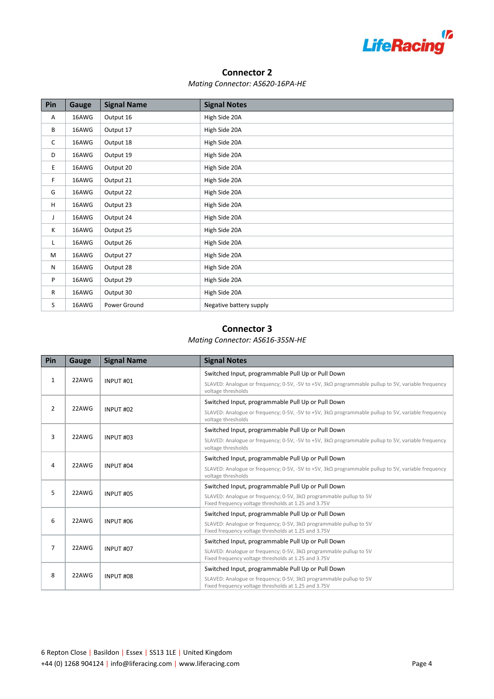

### **Connector 2**

#### *Mating Connector: AS620-16PA-HE*

| Pin | Gauge | <b>Signal Name</b> | <b>Signal Notes</b>     |
|-----|-------|--------------------|-------------------------|
| Α   | 16AWG | Output 16          | High Side 20A           |
| В   | 16AWG | Output 17          | High Side 20A           |
| C   | 16AWG | Output 18          | High Side 20A           |
| D   | 16AWG | Output 19          | High Side 20A           |
| E   | 16AWG | Output 20          | High Side 20A           |
| F.  | 16AWG | Output 21          | High Side 20A           |
| G   | 16AWG | Output 22          | High Side 20A           |
| H   | 16AWG | Output 23          | High Side 20A           |
| J   | 16AWG | Output 24          | High Side 20A           |
| K   | 16AWG | Output 25          | High Side 20A           |
| L.  | 16AWG | Output 26          | High Side 20A           |
| M   | 16AWG | Output 27          | High Side 20A           |
| N   | 16AWG | Output 28          | High Side 20A           |
| P   | 16AWG | Output 29          | High Side 20A           |
| R   | 16AWG | Output 30          | High Side 20A           |
| S   | 16AWG | Power Ground       | Negative battery supply |

# **Connector 3**

#### *Mating Connector: AS616-35SN-HE*

| Pin            | Gauge | <b>Signal Name</b>   | <b>Signal Notes</b>                                                                                                                  |
|----------------|-------|----------------------|--------------------------------------------------------------------------------------------------------------------------------------|
| $\mathbf{1}$   | 22AWG | INPUT #01            | Switched Input, programmable Pull Up or Pull Down                                                                                    |
|                |       |                      | SLAVED: Analogue or frequency; 0-5V, -5V to +5V, $3k\Omega$ programmable pullup to 5V, variable frequency<br>voltage thresholds      |
|                |       | INPUT #02            | Switched Input, programmable Pull Up or Pull Down                                                                                    |
| $\overline{2}$ | 22AWG |                      | SLAVED: Analogue or frequency; 0-5V, -5V to +5V, 3k $\Omega$ programmable pullup to 5V, variable frequency<br>voltage thresholds     |
|                |       | INPUT #03            | Switched Input, programmable Pull Up or Pull Down                                                                                    |
| 3              | 22AWG |                      | SLAVED: Analogue or frequency; 0-5V, -5V to +5V, $3k\Omega$ programmable pullup to 5V, variable frequency<br>voltage thresholds      |
|                |       | INPUT <sub>#04</sub> | Switched Input, programmable Pull Up or Pull Down                                                                                    |
| 4              | 22AWG |                      | SLAVED: Analogue or frequency; 0-5V, -5V to +5V, $3k\Omega$ programmable pullup to 5V, variable frequency<br>voltage thresholds      |
|                | 22AWG | INPUT #05            | Switched Input, programmable Pull Up or Pull Down                                                                                    |
| 5              |       |                      | SLAVED: Analogue or frequency; $0-5V$ , $3k\Omega$ programmable pullup to 5V<br>Fixed frequency voltage thresholds at 1.25 and 3.75V |
|                |       | INPUT #06            | Switched Input, programmable Pull Up or Pull Down                                                                                    |
| 6              | 22AWG |                      | SLAVED: Analogue or frequency; 0-5V, $3k\Omega$ programmable pullup to 5V<br>Fixed frequency voltage thresholds at 1.25 and 3.75V    |
|                | 22AWG | INPUT <sub>#07</sub> | Switched Input, programmable Pull Up or Pull Down                                                                                    |
| $\overline{7}$ |       |                      | SLAVED: Analogue or frequency; $0-5V$ , $3k\Omega$ programmable pullup to 5V<br>Fixed frequency voltage thresholds at 1.25 and 3.75V |
|                | 22AWG | INPUT #08            | Switched Input, programmable Pull Up or Pull Down                                                                                    |
| 8              |       |                      | SLAVED: Analogue or frequency; 0-5V, $3k\Omega$ programmable pullup to 5V<br>Fixed frequency voltage thresholds at 1.25 and 3.75V    |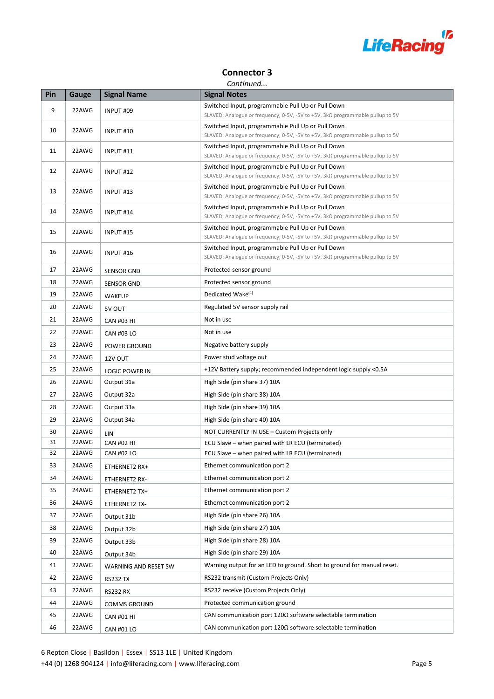

# **Connector 3**

#### *Continued...*

| Pin | Gauge | <b>Signal Name</b>    | <b>Signal Notes</b>                                                                                                                        |
|-----|-------|-----------------------|--------------------------------------------------------------------------------------------------------------------------------------------|
| 9   | 22AWG | INPUT #09             | Switched Input, programmable Pull Up or Pull Down                                                                                          |
|     |       |                       | SLAVED: Analogue or frequency; 0-5V, -5V to +5V, $3k\Omega$ programmable pullup to 5V                                                      |
| 10  | 22AWG | INPUT #10             | Switched Input, programmable Pull Up or Pull Down<br>SLAVED: Analogue or frequency; 0-5V, -5V to +5V, $3k\Omega$ programmable pullup to 5V |
| 11  | 22AWG | INPUT#11              | Switched Input, programmable Pull Up or Pull Down<br>SLAVED: Analogue or frequency; 0-5V, -5V to +5V, $3k\Omega$ programmable pullup to 5V |
| 12  | 22AWG | INPUT #12             | Switched Input, programmable Pull Up or Pull Down<br>SLAVED: Analogue or frequency; 0-5V, -5V to +5V, 3kΩ programmable pullup to 5V        |
| 13  | 22AWG | INPUT#13              | Switched Input, programmable Pull Up or Pull Down<br>SLAVED: Analogue or frequency; 0-5V, -5V to +5V, 3kΩ programmable pullup to 5V        |
|     |       |                       | Switched Input, programmable Pull Up or Pull Down                                                                                          |
| 14  | 22AWG | INPUT #14             | SLAVED: Analogue or frequency; 0-5V, -5V to +5V, 3kΩ programmable pullup to 5V                                                             |
| 15  | 22AWG | INPUT #15             | Switched Input, programmable Pull Up or Pull Down<br>SLAVED: Analogue or frequency; 0-5V, -5V to +5V, 3kΩ programmable pullup to 5V        |
| 16  | 22AWG | INPUT #16             | Switched Input, programmable Pull Up or Pull Down                                                                                          |
|     |       |                       | SLAVED: Analogue or frequency; 0-5V, -5V to +5V, $3k\Omega$ programmable pullup to 5V                                                      |
| 17  | 22AWG | <b>SENSOR GND</b>     | Protected sensor ground                                                                                                                    |
| 18  | 22AWG | <b>SENSOR GND</b>     | Protected sensor ground                                                                                                                    |
| 19  | 22AWG | WAKEUP                | Dedicated Wake <sup>(1)</sup>                                                                                                              |
| 20  | 22AWG | 5V OUT                | Regulated 5V sensor supply rail                                                                                                            |
| 21  | 22AWG | <b>CAN #03 HI</b>     | Not in use                                                                                                                                 |
| 22  | 22AWG | <b>CAN #03 LO</b>     | Not in use                                                                                                                                 |
| 23  | 22AWG | POWER GROUND          | Negative battery supply                                                                                                                    |
| 24  | 22AWG | 12V OUT               | Power stud voltage out                                                                                                                     |
| 25  | 22AWG | <b>LOGIC POWER IN</b> | +12V Battery supply; recommended independent logic supply <0.5A                                                                            |
| 26  | 22AWG | Output 31a            | High Side (pin share 37) 10A                                                                                                               |
| 27  | 22AWG | Output 32a            | High Side (pin share 38) 10A                                                                                                               |
| 28  | 22AWG | Output 33a            | High Side (pin share 39) 10A                                                                                                               |
| 29  | 22AWG | Output 34a            | High Side (pin share 40) 10A                                                                                                               |
| 30  | 22AWG | LIN                   | NOT CURRENTLY IN USE - Custom Projects only                                                                                                |
| 31  | 22AWG | <b>CAN #02 HI</b>     | ECU Slave - when paired with LR ECU (terminated)                                                                                           |
| 32  | 22AWG | <b>CAN #02 LO</b>     | ECU Slave - when paired with LR ECU (terminated)                                                                                           |
| 33  | 24AWG | ETHERNET2 RX+         | Ethernet communication port 2                                                                                                              |
| 34  | 24AWG | ETHERNET2 RX-         | Ethernet communication port 2                                                                                                              |
| 35  | 24AWG | ETHERNET2 TX+         | Ethernet communication port 2                                                                                                              |
| 36  | 24AWG | ETHERNET2 TX-         | Ethernet communication port 2                                                                                                              |
| 37  | 22AWG | Output 31b            | High Side (pin share 26) 10A                                                                                                               |
| 38  | 22AWG | Output 32b            | High Side (pin share 27) 10A                                                                                                               |
| 39  | 22AWG | Output 33b            | High Side (pin share 28) 10A                                                                                                               |
| 40  | 22AWG | Output 34b            | High Side (pin share 29) 10A                                                                                                               |
| 41  | 22AWG | WARNING AND RESET SW  | Warning output for an LED to ground. Short to ground for manual reset.                                                                     |
| 42  | 22AWG | <b>RS232 TX</b>       | RS232 transmit (Custom Projects Only)                                                                                                      |
| 43  | 22AWG | <b>RS232 RX</b>       | RS232 receive (Custom Projects Only)                                                                                                       |
| 44  | 22AWG | <b>COMMS GROUND</b>   | Protected communication ground                                                                                                             |
| 45  | 22AWG | <b>CAN #01 HI</b>     | CAN communication port $120\Omega$ software selectable termination                                                                         |
| 46  | 22AWG | CAN #01 LO            | CAN communication port $120\Omega$ software selectable termination                                                                         |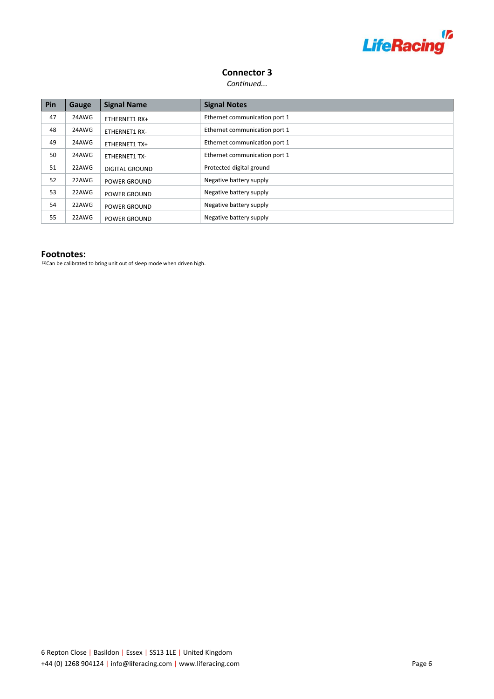

# **Connector 3**

*Continued...*

| Pin | Gauge | <b>Signal Name</b>    | <b>Signal Notes</b>           |
|-----|-------|-----------------------|-------------------------------|
| 47  | 24AWG | ETHERNET1 RX+         | Ethernet communication port 1 |
| 48  | 24AWG | <b>ETHERNET1 RX-</b>  | Ethernet communication port 1 |
| 49  | 24AWG | ETHERNET1 TX+         | Ethernet communication port 1 |
| 50  | 24AWG | <b>ETHERNET1 TX-</b>  | Ethernet communication port 1 |
| 51  | 22AWG | <b>DIGITAL GROUND</b> | Protected digital ground      |
| 52  | 22AWG | POWER GROUND          | Negative battery supply       |
| 53  | 22AWG | <b>POWER GROUND</b>   | Negative battery supply       |
| 54  | 22AWG | <b>POWER GROUND</b>   | Negative battery supply       |
| 55  | 22AWG | <b>POWER GROUND</b>   | Negative battery supply       |

#### **Footnotes:**

 $(1)$ Can be calibrated to bring unit out of sleep mode when driven high.